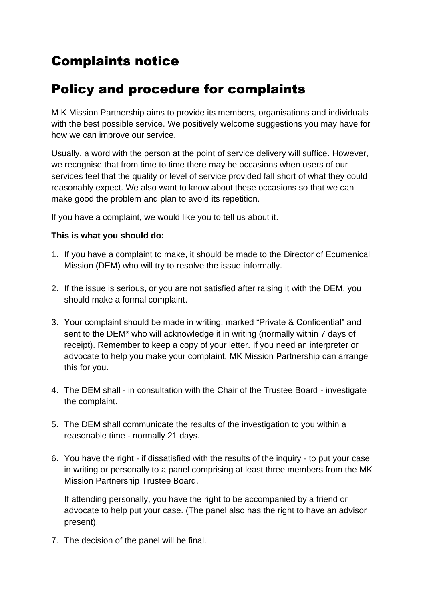## Complaints notice

## Policy and procedure for complaints

M K Mission Partnership aims to provide its members, organisations and individuals with the best possible service. We positively welcome suggestions you may have for how we can improve our service.

Usually, a word with the person at the point of service delivery will suffice. However, we recognise that from time to time there may be occasions when users of our services feel that the quality or level of service provided fall short of what they could reasonably expect. We also want to know about these occasions so that we can make good the problem and plan to avoid its repetition.

If you have a complaint, we would like you to tell us about it.

## **This is what you should do:**

- 1. If you have a complaint to make, it should be made to the Director of Ecumenical Mission (DEM) who will try to resolve the issue informally.
- 2. If the issue is serious, or you are not satisfied after raising it with the DEM, you should make a formal complaint.
- 3. Your complaint should be made in writing, marked "Private & Confidential" and sent to the DEM\* who will acknowledge it in writing (normally within 7 days of receipt). Remember to keep a copy of your letter. If you need an interpreter or advocate to help you make your complaint, MK Mission Partnership can arrange this for you.
- 4. The DEM shall in consultation with the Chair of the Trustee Board investigate the complaint.
- 5. The DEM shall communicate the results of the investigation to you within a reasonable time - normally 21 days.
- 6. You have the right if dissatisfied with the results of the inquiry to put your case in writing or personally to a panel comprising at least three members from the MK Mission Partnership Trustee Board.

If attending personally, you have the right to be accompanied by a friend or advocate to help put your case. (The panel also has the right to have an advisor present).

7. The decision of the panel will be final.